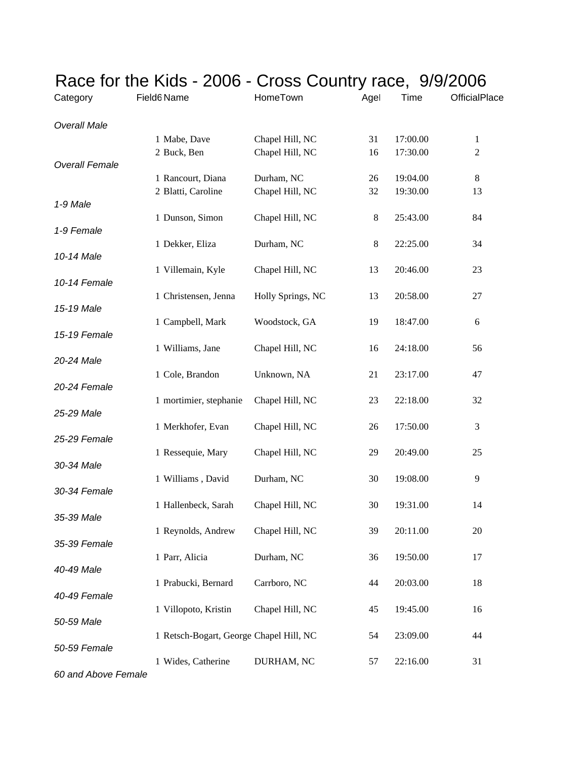|                       |                                         | $\overline{C}$ in the rigs - 2000 - Cross Country race, 3/3/2000 |         |          |                |  |
|-----------------------|-----------------------------------------|------------------------------------------------------------------|---------|----------|----------------|--|
| Category              | Field6 Name                             | HomeTown                                                         | Agel    | Time     | OfficialPlace  |  |
| <b>Overall Male</b>   |                                         |                                                                  |         |          |                |  |
|                       | 1 Mabe, Dave                            | Chapel Hill, NC                                                  | 31      | 17:00.00 | $\mathbf{1}$   |  |
| <b>Overall Female</b> | 2 Buck, Ben                             | Chapel Hill, NC                                                  | 16      | 17:30.00 | $\overline{c}$ |  |
|                       | 1 Rancourt, Diana                       | Durham, NC                                                       | 26      | 19:04.00 | $\,8\,$        |  |
|                       | 2 Blatti, Caroline                      | Chapel Hill, NC                                                  | 32      | 19:30.00 | 13             |  |
| 1-9 Male              |                                         |                                                                  |         |          |                |  |
| 1-9 Female            | 1 Dunson, Simon                         | Chapel Hill, NC                                                  | $8\,$   | 25:43.00 | 84             |  |
|                       | 1 Dekker, Eliza                         | Durham, NC                                                       | $\,8\,$ | 22:25.00 | 34             |  |
| 10-14 Male            |                                         |                                                                  |         |          |                |  |
| 10-14 Female          | 1 Villemain, Kyle                       | Chapel Hill, NC                                                  | 13      | 20:46.00 | 23             |  |
|                       | 1 Christensen, Jenna                    | Holly Springs, NC                                                | 13      | 20:58.00 | 27             |  |
| 15-19 Male            |                                         |                                                                  |         |          |                |  |
|                       | 1 Campbell, Mark                        | Woodstock, GA                                                    | 19      | 18:47.00 | 6              |  |
| 15-19 Female          | 1 Williams, Jane                        | Chapel Hill, NC                                                  | 16      | 24:18.00 | 56             |  |
| 20-24 Male            |                                         |                                                                  |         |          |                |  |
|                       | 1 Cole, Brandon                         | Unknown, NA                                                      | 21      | 23:17.00 | 47             |  |
| 20-24 Female          | 1 mortimier, stephanie                  | Chapel Hill, NC                                                  | 23      | 22:18.00 | 32             |  |
| 25-29 Male            |                                         |                                                                  |         |          |                |  |
|                       | 1 Merkhofer, Evan                       | Chapel Hill, NC                                                  | 26      | 17:50.00 | 3              |  |
| 25-29 Female          |                                         |                                                                  |         |          |                |  |
| 30-34 Male            | 1 Ressequie, Mary                       | Chapel Hill, NC                                                  | 29      | 20:49.00 | 25             |  |
|                       | 1 Williams, David                       | Durham, NC                                                       | 30      | 19:08.00 | 9              |  |
| 30-34 Female          |                                         |                                                                  |         |          |                |  |
| 35-39 Male            | 1 Hallenbeck, Sarah                     | Chapel Hill, NC                                                  | 30      | 19:31.00 | 14             |  |
|                       | 1 Reynolds, Andrew                      | Chapel Hill, NC                                                  | 39      | 20:11.00 | 20             |  |
| 35-39 Female          |                                         |                                                                  |         |          |                |  |
| 40-49 Male            | 1 Parr, Alicia                          | Durham, NC                                                       | 36      | 19:50.00 | 17             |  |
|                       | 1 Prabucki, Bernard                     | Carrboro, NC                                                     | 44      | 20:03.00 | 18             |  |
| 40-49 Female          |                                         |                                                                  |         |          |                |  |
|                       | 1 Villopoto, Kristin                    | Chapel Hill, NC                                                  | 45      | 19:45.00 | 16             |  |
| 50-59 Male            |                                         |                                                                  |         |          |                |  |
| 50-59 Female          | 1 Retsch-Bogart, George Chapel Hill, NC |                                                                  | 54      | 23:09.00 | 44             |  |
|                       | 1 Wides, Catherine                      | DURHAM, NC                                                       | 57      | 22:16.00 | 31             |  |
| 60 and Above Female   |                                         |                                                                  |         |          |                |  |

## Race for the Kids - 2006 - Cross Country race, 9/9/2006